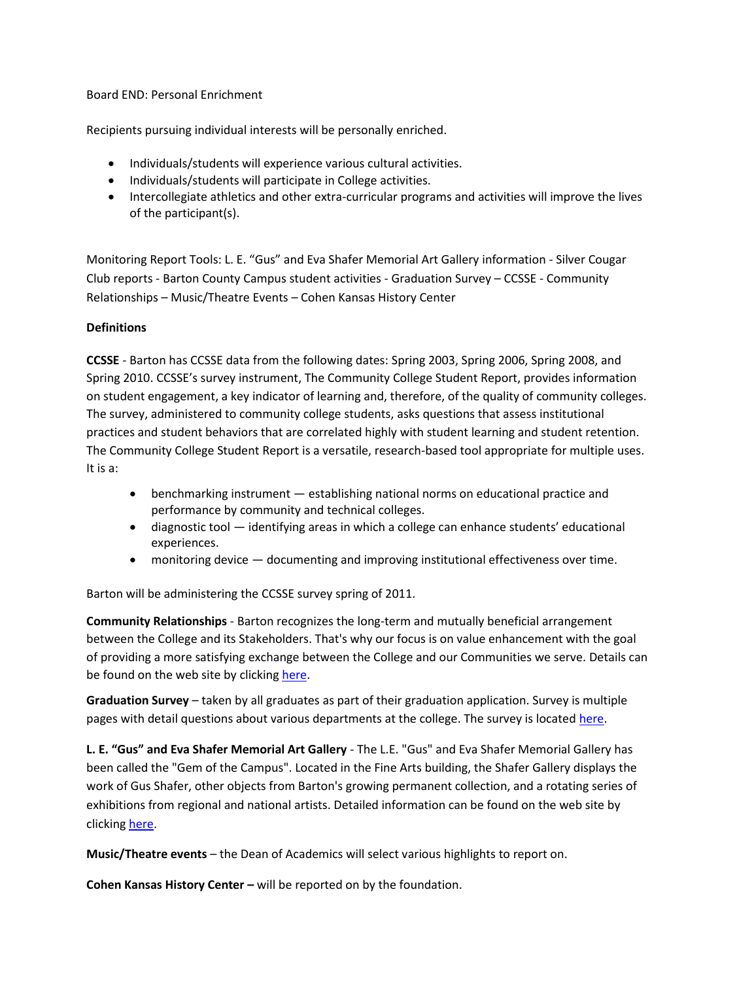Board END: Personal Enrichment

Recipients pursuing individual interests will be personally enriched.

- Individuals/students will experience various cultural activities.
- Individuals/students will participate in College activities.
- Intercollegiate athletics and other extra-curricular programs and activities will improve the lives of the participant(s).

Monitoring Report Tools: L. E. "Gus" and Eva Shafer Memorial Art Gallery information - Silver Cougar Club reports - Barton County Campus student activities - Graduation Survey – CCSSE - Community Relationships – Music/Theatre Events – Cohen Kansas History Center

## **Definitions**

**CCSSE** - Barton has CCSSE data from the following dates: Spring 2003, Spring 2006, Spring 2008, and Spring 2010. CCSSE's survey instrument, [The Community College Student Report,](http://www.ccsse.org/aboutsurvey/aboutsurvey.cfm) provides information on [student engagement,](http://www.ccsse.org/aboutccsse/engage.cfm) a key indicator of learning and, therefore, of the quality of community colleges. The survey, administered to community college students, asks questions that assess institutional practices and student behaviors that are correlated highly with student learning and student retention. The Community College Student Report is a versatile, research-based tool appropriate for multiple uses. It is a:

- [benchmarking instrument](http://www.ccsse.org/benchmarkpopup.html) establishing national norms on educational practice and performance by community and technical colleges.
- diagnostic tool identifying areas in which a college can enhance students' educational experiences.
- monitoring device documenting and improving institutional effectiveness over time.

Barton will be administering the CCSSE survey spring of 2011.

**Community Relationships** - Barton recognizes the long-term and mutually beneficial arrangement between the College and its Stakeholders. That's why our focus is on value enhancement with the goal of providing a more satisfying exchange between the College and our Communities we serve. Details can be found on the web site by clicking [here.](http://www.bartonccc.edu/community/relationships/index.html)

**Graduation Survey** – taken by all graduates as part of their graduation application. Survey is multiple pages with detail questions about various departments at the college. The survey is located [here.](https://exsforms.bartonccc.edu/enrollmentservices/gradapp/grad.htm)

**L. E. "Gus" and Eva Shafer Memorial Art Gallery** - The L.E. "Gus" and Eva Shafer Memorial Gallery has been called the "Gem of the Campus". Located in the Fine Arts building, the Shafer Gallery displays the work of Gus Shafer, other objects from Barton's growing permanent collection, and a rotating series of exhibitions from regional and national artists. Detailed information can be found on the web site by clicking [here.](http://www.bartonccc.edu/community/artsentertainment/shafergallery/index.html)

**Music/Theatre events** – the Dean of Academics will select various highlights to report on.

**Cohen Kansas History Center –** will be reported on by the foundation.